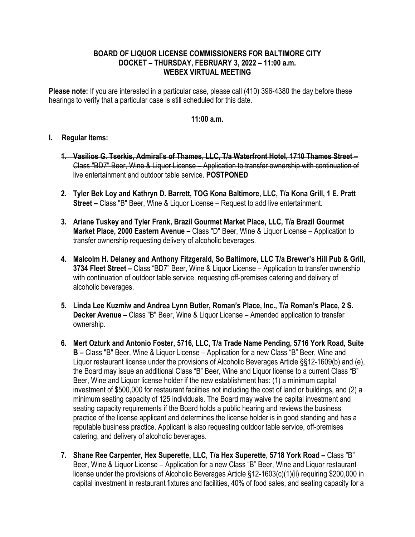## **BOARD OF LIQUOR LICENSE COMMISSIONERS FOR BALTIMORE CITY DOCKET – THURSDAY, FEBRUARY 3, 2022 – 11:00 a.m. WEBEX VIRTUAL MEETING**

**Please note:** If you are interested in a particular case, please call (410) 396-4380 the day before these hearings to verify that a particular case is still scheduled for this date.

## **11:00 a.m.**

## **I. Regular Items:**

- **1. Vasilios G. Tserkis, Admiral's of Thames, LLC, T/a Waterfront Hotel, 1710 Thames Street –** Class "BD7" Beer, Wine & Liquor License – Application to transfer ownership with continuation of live entertainment and outdoor table service. **POSTPONED**
- **2. Tyler Bek Loy and Kathryn D. Barrett, TOG Kona Baltimore, LLC, T/a Kona Grill, 1 E. Pratt Street –** Class "B" Beer, Wine & Liquor License – Request to add live entertainment.
- **3. Ariane Tuskey and Tyler Frank, Brazil Gourmet Market Place, LLC, T/a Brazil Gourmet Market Place, 2000 Eastern Avenue –** Class "D" Beer, Wine & Liquor License – Application to transfer ownership requesting delivery of alcoholic beverages.
- **4. Malcolm H. Delaney and Anthony Fitzgerald, So Baltimore, LLC T/a Brewer's Hill Pub & Grill, 3734 Fleet Street –** Class "BD7" Beer, Wine & Liquor License – Application to transfer ownership with continuation of outdoor table service, requesting off-premises catering and delivery of alcoholic beverages.
- **5. Linda Lee Kuzmiw and Andrea Lynn Butler, Roman's Place, Inc., T/a Roman's Place, 2 S. Decker Avenue –** Class "B" Beer, Wine & Liquor License – Amended application to transfer ownership.
- **6. Mert Ozturk and Antonio Foster, 5716, LLC, T/a Trade Name Pending, 5716 York Road, Suite B –** Class "B" Beer, Wine & Liquor License – Application for a new Class "B" Beer, Wine and Liquor restaurant license under the provisions of Alcoholic Beverages Article §§12-1609(b) and (e), the Board may issue an additional Class "B" Beer, Wine and Liquor license to a current Class "B" Beer, Wine and Liquor license holder if the new establishment has: (1) a minimum capital investment of \$500,000 for restaurant facilities not including the cost of land or buildings, and (2) a minimum seating capacity of 125 individuals. The Board may waive the capital investment and seating capacity requirements if the Board holds a public hearing and reviews the business practice of the license applicant and determines the license holder is in good standing and has a reputable business practice. Applicant is also requesting outdoor table service, off-premises catering, and delivery of alcoholic beverages.
- **7. Shane Ree Carpenter, Hex Superette, LLC, T/a Hex Superette, 5718 York Road –** Class "B" Beer, Wine & Liquor License – Application for a new Class "B" Beer, Wine and Liquor restaurant license under the provisions of Alcoholic Beverages Article §12-1603(c)(1)(ii) requiring \$200,000 in capital investment in restaurant fixtures and facilities, 40% of food sales, and seating capacity for a